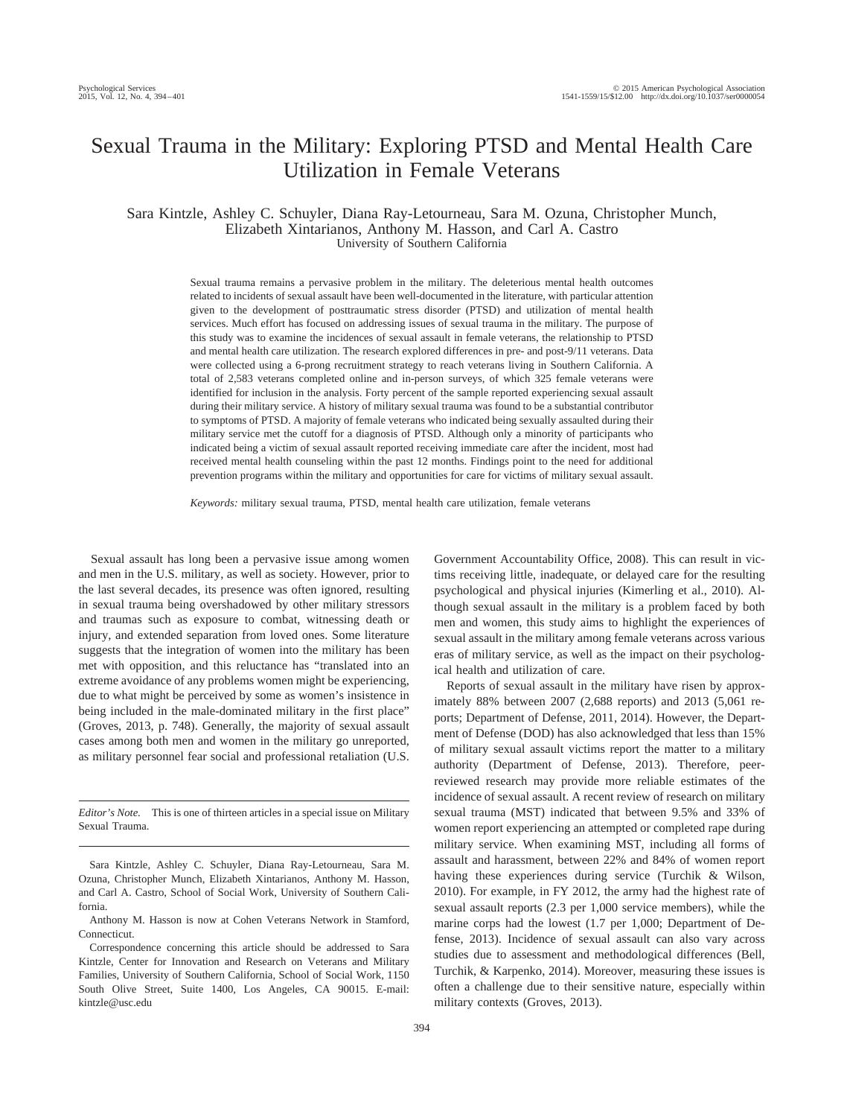# Sexual Trauma in the Military: Exploring PTSD and Mental Health Care Utilization in Female Veterans

## Sara Kintzle, Ashley C. Schuyler, Diana Ray-Letourneau, Sara M. Ozuna, Christopher Munch, Elizabeth Xintarianos, Anthony M. Hasson, and Carl A. Castro University of Southern California

Sexual trauma remains a pervasive problem in the military. The deleterious mental health outcomes related to incidents of sexual assault have been well-documented in the literature, with particular attention given to the development of posttraumatic stress disorder (PTSD) and utilization of mental health services. Much effort has focused on addressing issues of sexual trauma in the military. The purpose of this study was to examine the incidences of sexual assault in female veterans, the relationship to PTSD and mental health care utilization. The research explored differences in pre- and post-9/11 veterans. Data were collected using a 6-prong recruitment strategy to reach veterans living in Southern California. A total of 2,583 veterans completed online and in-person surveys, of which 325 female veterans were identified for inclusion in the analysis. Forty percent of the sample reported experiencing sexual assault during their military service. A history of military sexual trauma was found to be a substantial contributor to symptoms of PTSD. A majority of female veterans who indicated being sexually assaulted during their military service met the cutoff for a diagnosis of PTSD. Although only a minority of participants who indicated being a victim of sexual assault reported receiving immediate care after the incident, most had received mental health counseling within the past 12 months. Findings point to the need for additional prevention programs within the military and opportunities for care for victims of military sexual assault.

*Keywords:* military sexual trauma, PTSD, mental health care utilization, female veterans

Sexual assault has long been a pervasive issue among women and men in the U.S. military, as well as society. However, prior to the last several decades, its presence was often ignored, resulting in sexual trauma being overshadowed by other military stressors and traumas such as exposure to combat, witnessing death or injury, and extended separation from loved ones. Some literature suggests that the integration of women into the military has been met with opposition, and this reluctance has "translated into an extreme avoidance of any problems women might be experiencing, due to what might be perceived by some as women's insistence in being included in the male-dominated military in the first place" (Groves, 2013, p. 748). Generally, the majority of sexual assault cases among both men and women in the military go unreported, as military personnel fear social and professional retaliation (U.S.

*Editor's Note.* This is one of thirteen articles in a special issue on Military Sexual Trauma.

Government Accountability Office, 2008). This can result in victims receiving little, inadequate, or delayed care for the resulting psychological and physical injuries (Kimerling et al., 2010). Although sexual assault in the military is a problem faced by both men and women, this study aims to highlight the experiences of sexual assault in the military among female veterans across various eras of military service, as well as the impact on their psychological health and utilization of care.

Reports of sexual assault in the military have risen by approximately 88% between 2007 (2,688 reports) and 2013 (5,061 reports; Department of Defense, 2011, 2014). However, the Department of Defense (DOD) has also acknowledged that less than 15% of military sexual assault victims report the matter to a military authority (Department of Defense, 2013). Therefore, peerreviewed research may provide more reliable estimates of the incidence of sexual assault. A recent review of research on military sexual trauma (MST) indicated that between 9.5% and 33% of women report experiencing an attempted or completed rape during military service. When examining MST, including all forms of assault and harassment, between 22% and 84% of women report having these experiences during service (Turchik & Wilson, 2010). For example, in FY 2012, the army had the highest rate of sexual assault reports (2.3 per 1,000 service members), while the marine corps had the lowest (1.7 per 1,000; Department of Defense, 2013). Incidence of sexual assault can also vary across studies due to assessment and methodological differences (Bell, Turchik, & Karpenko, 2014). Moreover, measuring these issues is often a challenge due to their sensitive nature, especially within military contexts (Groves, 2013).

Sara Kintzle, Ashley C. Schuyler, Diana Ray-Letourneau, Sara M. Ozuna, Christopher Munch, Elizabeth Xintarianos, Anthony M. Hasson, and Carl A. Castro, School of Social Work, University of Southern California.

Anthony M. Hasson is now at Cohen Veterans Network in Stamford, Connecticut.

Correspondence concerning this article should be addressed to Sara Kintzle, Center for Innovation and Research on Veterans and Military Families, University of Southern California, School of Social Work, 1150 South Olive Street, Suite 1400, Los Angeles, CA 90015. E-mail: [kintzle@usc.edu](mailto:kintzle@usc.edu)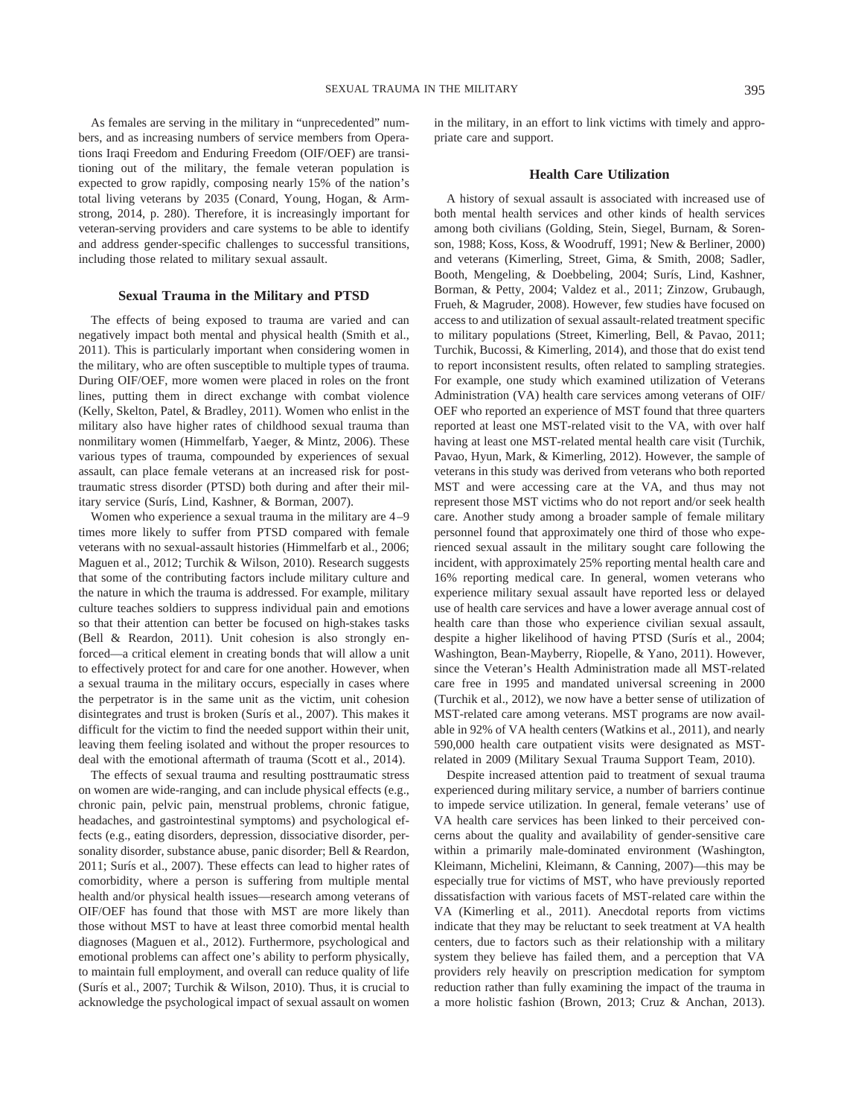As females are serving in the military in "unprecedented" numbers, and as increasing numbers of service members from Operations Iraqi Freedom and Enduring Freedom (OIF/OEF) are transitioning out of the military, the female veteran population is expected to grow rapidly, composing nearly 15% of the nation's total living veterans by 2035 (Conard, Young, Hogan, & Armstrong, 2014, p. 280). Therefore, it is increasingly important for veteran-serving providers and care systems to be able to identify and address gender-specific challenges to successful transitions, including those related to military sexual assault.

## **Sexual Trauma in the Military and PTSD**

The effects of being exposed to trauma are varied and can negatively impact both mental and physical health (Smith et al., 2011). This is particularly important when considering women in the military, who are often susceptible to multiple types of trauma. During OIF/OEF, more women were placed in roles on the front lines, putting them in direct exchange with combat violence (Kelly, Skelton, Patel, & Bradley, 2011). Women who enlist in the military also have higher rates of childhood sexual trauma than nonmilitary women (Himmelfarb, Yaeger, & Mintz, 2006). These various types of trauma, compounded by experiences of sexual assault, can place female veterans at an increased risk for posttraumatic stress disorder (PTSD) both during and after their military service (Surís, Lind, Kashner, & Borman, 2007).

Women who experience a sexual trauma in the military are  $4-9$ times more likely to suffer from PTSD compared with female veterans with no sexual-assault histories (Himmelfarb et al., 2006; Maguen et al., 2012; Turchik & Wilson, 2010). Research suggests that some of the contributing factors include military culture and the nature in which the trauma is addressed. For example, military culture teaches soldiers to suppress individual pain and emotions so that their attention can better be focused on high-stakes tasks (Bell & Reardon, 2011). Unit cohesion is also strongly enforced—a critical element in creating bonds that will allow a unit to effectively protect for and care for one another. However, when a sexual trauma in the military occurs, especially in cases where the perpetrator is in the same unit as the victim, unit cohesion disintegrates and trust is broken (Surís et al., 2007). This makes it difficult for the victim to find the needed support within their unit, leaving them feeling isolated and without the proper resources to deal with the emotional aftermath of trauma (Scott et al., 2014).

The effects of sexual trauma and resulting posttraumatic stress on women are wide-ranging, and can include physical effects (e.g., chronic pain, pelvic pain, menstrual problems, chronic fatigue, headaches, and gastrointestinal symptoms) and psychological effects (e.g., eating disorders, depression, dissociative disorder, personality disorder, substance abuse, panic disorder; Bell & Reardon, 2011; Surís et al., 2007). These effects can lead to higher rates of comorbidity, where a person is suffering from multiple mental health and/or physical health issues—research among veterans of OIF/OEF has found that those with MST are more likely than those without MST to have at least three comorbid mental health diagnoses (Maguen et al., 2012). Furthermore, psychological and emotional problems can affect one's ability to perform physically, to maintain full employment, and overall can reduce quality of life (Surís et al., 2007; Turchik & Wilson, 2010). Thus, it is crucial to acknowledge the psychological impact of sexual assault on women in the military, in an effort to link victims with timely and appropriate care and support.

## **Health Care Utilization**

A history of sexual assault is associated with increased use of both mental health services and other kinds of health services among both civilians (Golding, Stein, Siegel, Burnam, & Sorenson, 1988; Koss, Koss, & Woodruff, 1991; New & Berliner, 2000) and veterans (Kimerling, Street, Gima, & Smith, 2008; Sadler, Booth, Mengeling, & Doebbeling, 2004; Surís, Lind, Kashner, Borman, & Petty, 2004; Valdez et al., 2011; Zinzow, Grubaugh, Frueh, & Magruder, 2008). However, few studies have focused on access to and utilization of sexual assault-related treatment specific to military populations (Street, Kimerling, Bell, & Pavao, 2011; Turchik, Bucossi, & Kimerling, 2014), and those that do exist tend to report inconsistent results, often related to sampling strategies. For example, one study which examined utilization of Veterans Administration (VA) health care services among veterans of OIF/ OEF who reported an experience of MST found that three quarters reported at least one MST-related visit to the VA, with over half having at least one MST-related mental health care visit (Turchik, Pavao, Hyun, Mark, & Kimerling, 2012). However, the sample of veterans in this study was derived from veterans who both reported MST and were accessing care at the VA, and thus may not represent those MST victims who do not report and/or seek health care. Another study among a broader sample of female military personnel found that approximately one third of those who experienced sexual assault in the military sought care following the incident, with approximately 25% reporting mental health care and 16% reporting medical care. In general, women veterans who experience military sexual assault have reported less or delayed use of health care services and have a lower average annual cost of health care than those who experience civilian sexual assault, despite a higher likelihood of having PTSD (Surís et al., 2004; Washington, Bean-Mayberry, Riopelle, & Yano, 2011). However, since the Veteran's Health Administration made all MST-related care free in 1995 and mandated universal screening in 2000 (Turchik et al., 2012), we now have a better sense of utilization of MST-related care among veterans. MST programs are now available in 92% of VA health centers (Watkins et al., 2011), and nearly 590,000 health care outpatient visits were designated as MSTrelated in 2009 (Military Sexual Trauma Support Team, 2010).

Despite increased attention paid to treatment of sexual trauma experienced during military service, a number of barriers continue to impede service utilization. In general, female veterans' use of VA health care services has been linked to their perceived concerns about the quality and availability of gender-sensitive care within a primarily male-dominated environment (Washington, Kleimann, Michelini, Kleimann, & Canning, 2007)—this may be especially true for victims of MST, who have previously reported dissatisfaction with various facets of MST-related care within the VA (Kimerling et al., 2011). Anecdotal reports from victims indicate that they may be reluctant to seek treatment at VA health centers, due to factors such as their relationship with a military system they believe has failed them, and a perception that VA providers rely heavily on prescription medication for symptom reduction rather than fully examining the impact of the trauma in a more holistic fashion (Brown, 2013; Cruz & Anchan, 2013).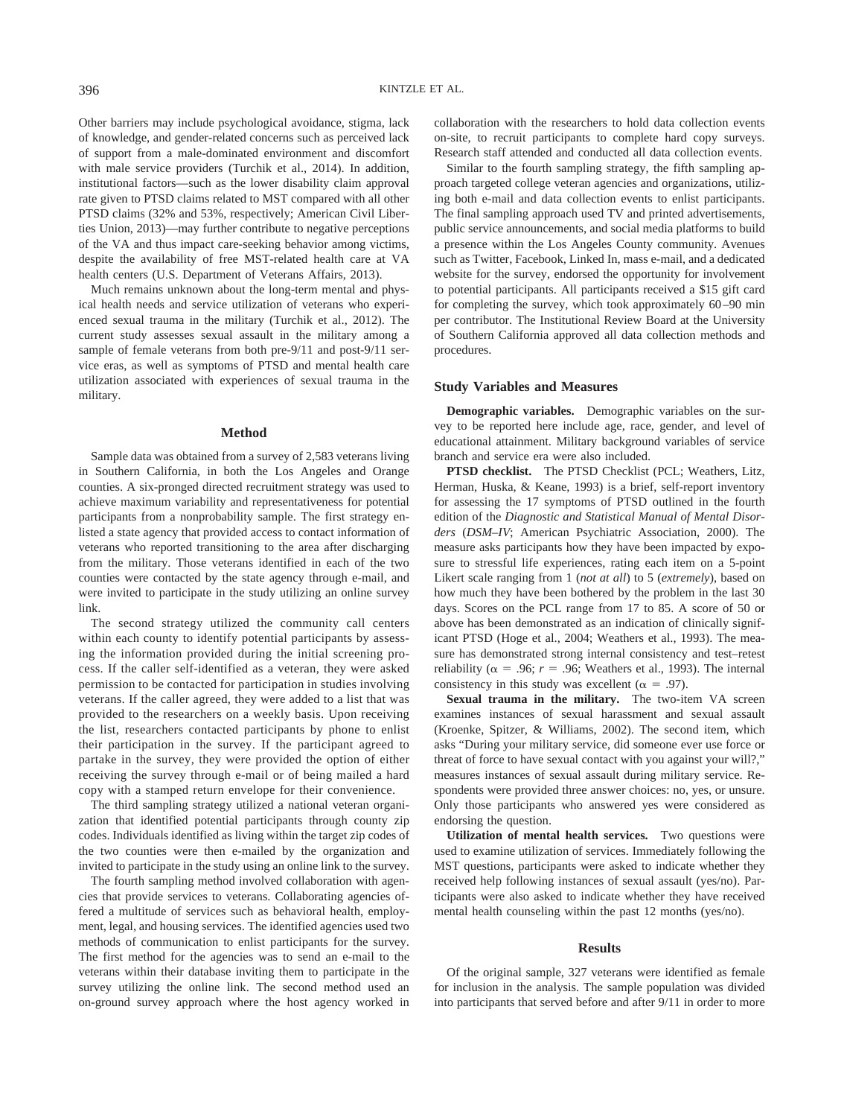Other barriers may include psychological avoidance, stigma, lack of knowledge, and gender-related concerns such as perceived lack of support from a male-dominated environment and discomfort with male service providers (Turchik et al., 2014). In addition, institutional factors—such as the lower disability claim approval rate given to PTSD claims related to MST compared with all other PTSD claims (32% and 53%, respectively; American Civil Liberties Union, 2013)—may further contribute to negative perceptions of the VA and thus impact care-seeking behavior among victims, despite the availability of free MST-related health care at VA health centers (U.S. Department of Veterans Affairs, 2013).

Much remains unknown about the long-term mental and physical health needs and service utilization of veterans who experienced sexual trauma in the military (Turchik et al., 2012). The current study assesses sexual assault in the military among a sample of female veterans from both pre-9/11 and post-9/11 service eras, as well as symptoms of PTSD and mental health care utilization associated with experiences of sexual trauma in the military.

#### **Method**

Sample data was obtained from a survey of 2,583 veterans living in Southern California, in both the Los Angeles and Orange counties. A six-pronged directed recruitment strategy was used to achieve maximum variability and representativeness for potential participants from a nonprobability sample. The first strategy enlisted a state agency that provided access to contact information of veterans who reported transitioning to the area after discharging from the military. Those veterans identified in each of the two counties were contacted by the state agency through e-mail, and were invited to participate in the study utilizing an online survey link.

The second strategy utilized the community call centers within each county to identify potential participants by assessing the information provided during the initial screening process. If the caller self-identified as a veteran, they were asked permission to be contacted for participation in studies involving veterans. If the caller agreed, they were added to a list that was provided to the researchers on a weekly basis. Upon receiving the list, researchers contacted participants by phone to enlist their participation in the survey. If the participant agreed to partake in the survey, they were provided the option of either receiving the survey through e-mail or of being mailed a hard copy with a stamped return envelope for their convenience.

The third sampling strategy utilized a national veteran organization that identified potential participants through county zip codes. Individuals identified as living within the target zip codes of the two counties were then e-mailed by the organization and invited to participate in the study using an online link to the survey.

The fourth sampling method involved collaboration with agencies that provide services to veterans. Collaborating agencies offered a multitude of services such as behavioral health, employment, legal, and housing services. The identified agencies used two methods of communication to enlist participants for the survey. The first method for the agencies was to send an e-mail to the veterans within their database inviting them to participate in the survey utilizing the online link. The second method used an on-ground survey approach where the host agency worked in collaboration with the researchers to hold data collection events on-site, to recruit participants to complete hard copy surveys. Research staff attended and conducted all data collection events.

Similar to the fourth sampling strategy, the fifth sampling approach targeted college veteran agencies and organizations, utilizing both e-mail and data collection events to enlist participants. The final sampling approach used TV and printed advertisements, public service announcements, and social media platforms to build a presence within the Los Angeles County community. Avenues such as Twitter, Facebook, Linked In, mass e-mail, and a dedicated website for the survey, endorsed the opportunity for involvement to potential participants. All participants received a \$15 gift card for completing the survey, which took approximately 60 –90 min per contributor. The Institutional Review Board at the University of Southern California approved all data collection methods and procedures.

## **Study Variables and Measures**

**Demographic variables.** Demographic variables on the survey to be reported here include age, race, gender, and level of educational attainment. Military background variables of service branch and service era were also included.

**PTSD checklist.** The PTSD Checklist (PCL; Weathers, Litz, Herman, Huska, & Keane, 1993) is a brief, self-report inventory for assessing the 17 symptoms of PTSD outlined in the fourth edition of the *Diagnostic and Statistical Manual of Mental Disorders* (*DSM–IV*; American Psychiatric Association, 2000). The measure asks participants how they have been impacted by exposure to stressful life experiences, rating each item on a 5-point Likert scale ranging from 1 (*not at all*) to 5 (*extremely*), based on how much they have been bothered by the problem in the last 30 days. Scores on the PCL range from 17 to 85. A score of 50 or above has been demonstrated as an indication of clinically significant PTSD (Hoge et al., 2004; Weathers et al., 1993). The measure has demonstrated strong internal consistency and test–retest reliability ( $\alpha = .96$ ;  $r = .96$ ; Weathers et al., 1993). The internal consistency in this study was excellent ( $\alpha = .97$ ).

**Sexual trauma in the military.** The two-item VA screen examines instances of sexual harassment and sexual assault (Kroenke, Spitzer, & Williams, 2002). The second item, which asks "During your military service, did someone ever use force or threat of force to have sexual contact with you against your will?," measures instances of sexual assault during military service. Respondents were provided three answer choices: no, yes, or unsure. Only those participants who answered yes were considered as endorsing the question.

**Utilization of mental health services.** Two questions were used to examine utilization of services. Immediately following the MST questions, participants were asked to indicate whether they received help following instances of sexual assault (yes/no). Participants were also asked to indicate whether they have received mental health counseling within the past 12 months (yes/no).

#### **Results**

Of the original sample, 327 veterans were identified as female for inclusion in the analysis. The sample population was divided into participants that served before and after 9/11 in order to more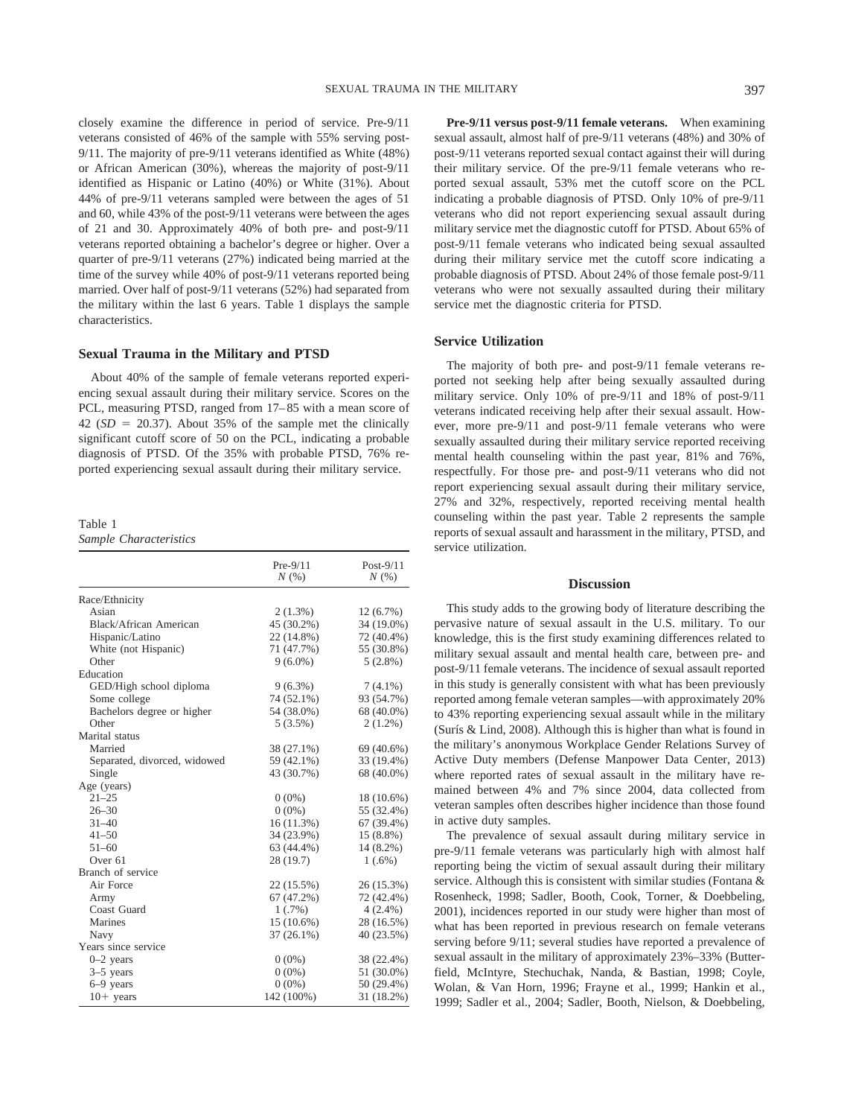closely examine the difference in period of service. Pre-9/11 veterans consisted of 46% of the sample with 55% serving post-9/11. The majority of pre-9/11 veterans identified as White (48%) or African American (30%), whereas the majority of post-9/11 identified as Hispanic or Latino (40%) or White (31%). About 44% of pre-9/11 veterans sampled were between the ages of 51 and 60, while 43% of the post-9/11 veterans were between the ages of 21 and 30. Approximately 40% of both pre- and post-9/11 veterans reported obtaining a bachelor's degree or higher. Over a quarter of pre-9/11 veterans (27%) indicated being married at the time of the survey while 40% of post-9/11 veterans reported being married. Over half of post-9/11 veterans (52%) had separated from the military within the last 6 years. Table 1 displays the sample characteristics.

## **Sexual Trauma in the Military and PTSD**

About 40% of the sample of female veterans reported experiencing sexual assault during their military service. Scores on the PCL, measuring PTSD, ranged from 17– 85 with a mean score of  $42$  (*SD* = 20.37). About 35% of the sample met the clinically significant cutoff score of 50 on the PCL, indicating a probable diagnosis of PTSD. Of the 35% with probable PTSD, 76% reported experiencing sexual assault during their military service.

Table 1

*Sample Characteristics*

|                              | $Pre-9/11$<br>N(%) | Post- $9/11$<br>N(%) |
|------------------------------|--------------------|----------------------|
| Race/Ethnicity               |                    |                      |
| Asian                        | $2(1.3\%)$         | $12(6.7\%)$          |
| Black/African American       | 45 (30.2%)         | 34 (19.0%)           |
| Hispanic/Latino              | 22 (14.8%)         | 72 (40.4%)           |
| White (not Hispanic)         | 71 (47.7%)         | 55 (30.8%)           |
| Other                        | $9(6.0\%)$         | $5(2.8\%)$           |
| Education                    |                    |                      |
| GED/High school diploma      | $9(6.3\%)$         | $7(4.1\%)$           |
| Some college                 | 74 (52.1%)         | 93 (54.7%)           |
| Bachelors degree or higher   | 54 (38.0%)         | 68 (40.0%)           |
| Other                        | $5(3.5\%)$         | $2(1.2\%)$           |
| Marital status               |                    |                      |
| Married                      | 38 (27.1%)         | 69 (40.6%)           |
| Separated, divorced, widowed | 59 (42.1%)         | 33 (19.4%)           |
| Single                       | 43 (30.7%)         | 68 (40.0%)           |
| Age (years)                  |                    |                      |
| $21 - 25$                    | $0(0\%)$           | 18 (10.6%)           |
| $26 - 30$                    | $0(0\%)$           | 55 (32.4%)           |
| $31 - 40$                    | 16(11.3%)          | 67 (39.4%)           |
| $41 - 50$                    | 34 (23.9%)         | $15(8.8\%)$          |
| $51 - 60$                    | 63 (44.4%)         | $14(8.2\%)$          |
| Over <sub>61</sub>           | 28 (19.7)          | $1(.6\%)$            |
| Branch of service            |                    |                      |
| Air Force                    | 22 (15.5%)         | 26 (15.3%)           |
| Army                         | 67 (47.2%)         | 72 (42.4%)           |
| Coast Guard                  | 1(.7%)             | $4(2.4\%)$           |
| Marines                      | $15(10.6\%)$       | 28 (16.5%)           |
| Navy                         | $37(26.1\%)$       | 40 (23.5%)           |
| Years since service          |                    |                      |
| $0-2$ years                  | $0(0\%)$           | 38 (22.4%)           |
| $3-5$ years                  | $0(0\%)$           | 51 (30.0%)           |
| 6–9 years                    | $0(0\%)$           | 50 (29.4%)           |
| $10+$ years                  | 142 (100%)         | 31 (18.2%)           |

**Pre-9/11 versus post-9/11 female veterans.** When examining sexual assault, almost half of pre-9/11 veterans (48%) and 30% of post-9/11 veterans reported sexual contact against their will during their military service. Of the pre-9/11 female veterans who reported sexual assault, 53% met the cutoff score on the PCL indicating a probable diagnosis of PTSD. Only 10% of pre-9/11 veterans who did not report experiencing sexual assault during military service met the diagnostic cutoff for PTSD. About 65% of post-9/11 female veterans who indicated being sexual assaulted during their military service met the cutoff score indicating a probable diagnosis of PTSD. About 24% of those female post-9/11 veterans who were not sexually assaulted during their military service met the diagnostic criteria for PTSD.

## **Service Utilization**

The majority of both pre- and post-9/11 female veterans reported not seeking help after being sexually assaulted during military service. Only 10% of pre-9/11 and 18% of post-9/11 veterans indicated receiving help after their sexual assault. However, more pre-9/11 and post-9/11 female veterans who were sexually assaulted during their military service reported receiving mental health counseling within the past year, 81% and 76%, respectfully. For those pre- and post-9/11 veterans who did not report experiencing sexual assault during their military service, 27% and 32%, respectively, reported receiving mental health counseling within the past year. Table 2 represents the sample reports of sexual assault and harassment in the military, PTSD, and service utilization.

## **Discussion**

This study adds to the growing body of literature describing the pervasive nature of sexual assault in the U.S. military. To our knowledge, this is the first study examining differences related to military sexual assault and mental health care, between pre- and post-9/11 female veterans. The incidence of sexual assault reported in this study is generally consistent with what has been previously reported among female veteran samples—with approximately 20% to 43% reporting experiencing sexual assault while in the military (Surís & Lind, 2008). Although this is higher than what is found in the military's anonymous Workplace Gender Relations Survey of Active Duty members (Defense Manpower Data Center, 2013) where reported rates of sexual assault in the military have remained between 4% and 7% since 2004, data collected from veteran samples often describes higher incidence than those found in active duty samples.

The prevalence of sexual assault during military service in pre-9/11 female veterans was particularly high with almost half reporting being the victim of sexual assault during their military service. Although this is consistent with similar studies (Fontana & Rosenheck, 1998; Sadler, Booth, Cook, Torner, & Doebbeling, 2001), incidences reported in our study were higher than most of what has been reported in previous research on female veterans serving before 9/11; several studies have reported a prevalence of sexual assault in the military of approximately 23%–33% (Butterfield, McIntyre, Stechuchak, Nanda, & Bastian, 1998; Coyle, Wolan, & Van Horn, 1996; Frayne et al., 1999; Hankin et al., 1999; Sadler et al., 2004; Sadler, Booth, Nielson, & Doebbeling,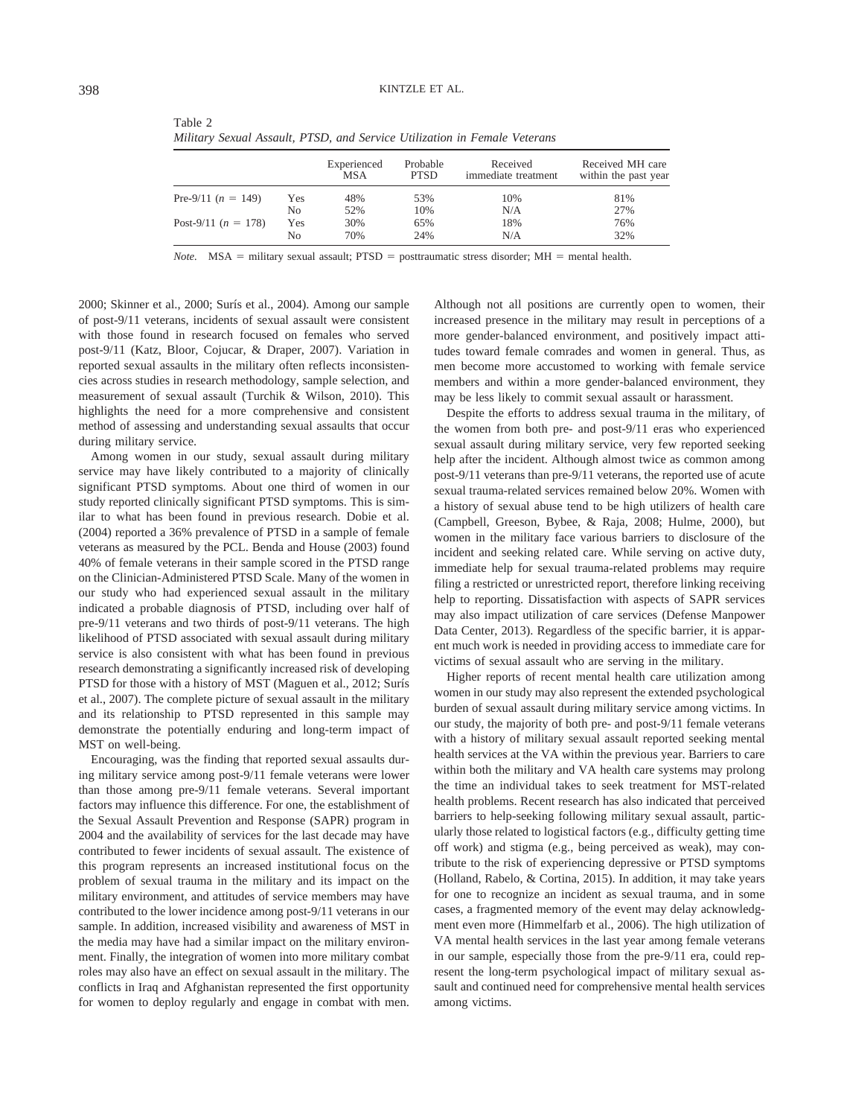| ٠<br>۰, | ×            |        |  |
|---------|--------------|--------|--|
| I<br>v  | ۰.<br>٧<br>v | I<br>٠ |  |

|                       |     | Experienced<br>MSA | Probable<br><b>PTSD</b> | Received<br>immediate treatment | Received MH care<br>within the past year |
|-----------------------|-----|--------------------|-------------------------|---------------------------------|------------------------------------------|
| Pre-9/11 $(n = 149)$  | Yes | 48%                | 53%                     | 10%                             | 81%                                      |
|                       | No  | 52%                | 10%                     | N/A                             | 27%                                      |
| Post-9/11 $(n = 178)$ | Yes | 30%                | 65%                     | 18%                             | 76%                                      |
|                       | No  | 70%                | 24%                     | N/A                             | 32%                                      |

*Military Sexual Assault, PTSD, and Service Utilization in Female Veterans*

*Note.* MSA = military sexual assault; PTSD = posttraumatic stress disorder; MH = mental health.

2000; Skinner et al., 2000; Surís et al., 2004). Among our sample of post-9/11 veterans, incidents of sexual assault were consistent with those found in research focused on females who served post-9/11 (Katz, Bloor, Cojucar, & Draper, 2007). Variation in reported sexual assaults in the military often reflects inconsistencies across studies in research methodology, sample selection, and measurement of sexual assault (Turchik & Wilson, 2010). This highlights the need for a more comprehensive and consistent method of assessing and understanding sexual assaults that occur during military service.

Table 2

Among women in our study, sexual assault during military service may have likely contributed to a majority of clinically significant PTSD symptoms. About one third of women in our study reported clinically significant PTSD symptoms. This is similar to what has been found in previous research. Dobie et al. (2004) reported a 36% prevalence of PTSD in a sample of female veterans as measured by the PCL. Benda and House (2003) found 40% of female veterans in their sample scored in the PTSD range on the Clinician-Administered PTSD Scale. Many of the women in our study who had experienced sexual assault in the military indicated a probable diagnosis of PTSD, including over half of pre-9/11 veterans and two thirds of post-9/11 veterans. The high likelihood of PTSD associated with sexual assault during military service is also consistent with what has been found in previous research demonstrating a significantly increased risk of developing PTSD for those with a history of MST (Maguen et al., 2012; Surís et al., 2007). The complete picture of sexual assault in the military and its relationship to PTSD represented in this sample may demonstrate the potentially enduring and long-term impact of MST on well-being.

Encouraging, was the finding that reported sexual assaults during military service among post-9/11 female veterans were lower than those among pre-9/11 female veterans. Several important factors may influence this difference. For one, the establishment of the Sexual Assault Prevention and Response (SAPR) program in 2004 and the availability of services for the last decade may have contributed to fewer incidents of sexual assault. The existence of this program represents an increased institutional focus on the problem of sexual trauma in the military and its impact on the military environment, and attitudes of service members may have contributed to the lower incidence among post-9/11 veterans in our sample. In addition, increased visibility and awareness of MST in the media may have had a similar impact on the military environment. Finally, the integration of women into more military combat roles may also have an effect on sexual assault in the military. The conflicts in Iraq and Afghanistan represented the first opportunity for women to deploy regularly and engage in combat with men. Although not all positions are currently open to women, their increased presence in the military may result in perceptions of a more gender-balanced environment, and positively impact attitudes toward female comrades and women in general. Thus, as men become more accustomed to working with female service members and within a more gender-balanced environment, they may be less likely to commit sexual assault or harassment.

Despite the efforts to address sexual trauma in the military, of the women from both pre- and post-9/11 eras who experienced sexual assault during military service, very few reported seeking help after the incident. Although almost twice as common among post-9/11 veterans than pre-9/11 veterans, the reported use of acute sexual trauma-related services remained below 20%. Women with a history of sexual abuse tend to be high utilizers of health care (Campbell, Greeson, Bybee, & Raja, 2008; Hulme, 2000), but women in the military face various barriers to disclosure of the incident and seeking related care. While serving on active duty, immediate help for sexual trauma-related problems may require filing a restricted or unrestricted report, therefore linking receiving help to reporting. Dissatisfaction with aspects of SAPR services may also impact utilization of care services (Defense Manpower Data Center, 2013). Regardless of the specific barrier, it is apparent much work is needed in providing access to immediate care for victims of sexual assault who are serving in the military.

Higher reports of recent mental health care utilization among women in our study may also represent the extended psychological burden of sexual assault during military service among victims. In our study, the majority of both pre- and post-9/11 female veterans with a history of military sexual assault reported seeking mental health services at the VA within the previous year. Barriers to care within both the military and VA health care systems may prolong the time an individual takes to seek treatment for MST-related health problems. Recent research has also indicated that perceived barriers to help-seeking following military sexual assault, particularly those related to logistical factors (e.g., difficulty getting time off work) and stigma (e.g., being perceived as weak), may contribute to the risk of experiencing depressive or PTSD symptoms (Holland, Rabelo, & Cortina, 2015). In addition, it may take years for one to recognize an incident as sexual trauma, and in some cases, a fragmented memory of the event may delay acknowledgment even more (Himmelfarb et al., 2006). The high utilization of VA mental health services in the last year among female veterans in our sample, especially those from the pre-9/11 era, could represent the long-term psychological impact of military sexual assault and continued need for comprehensive mental health services among victims.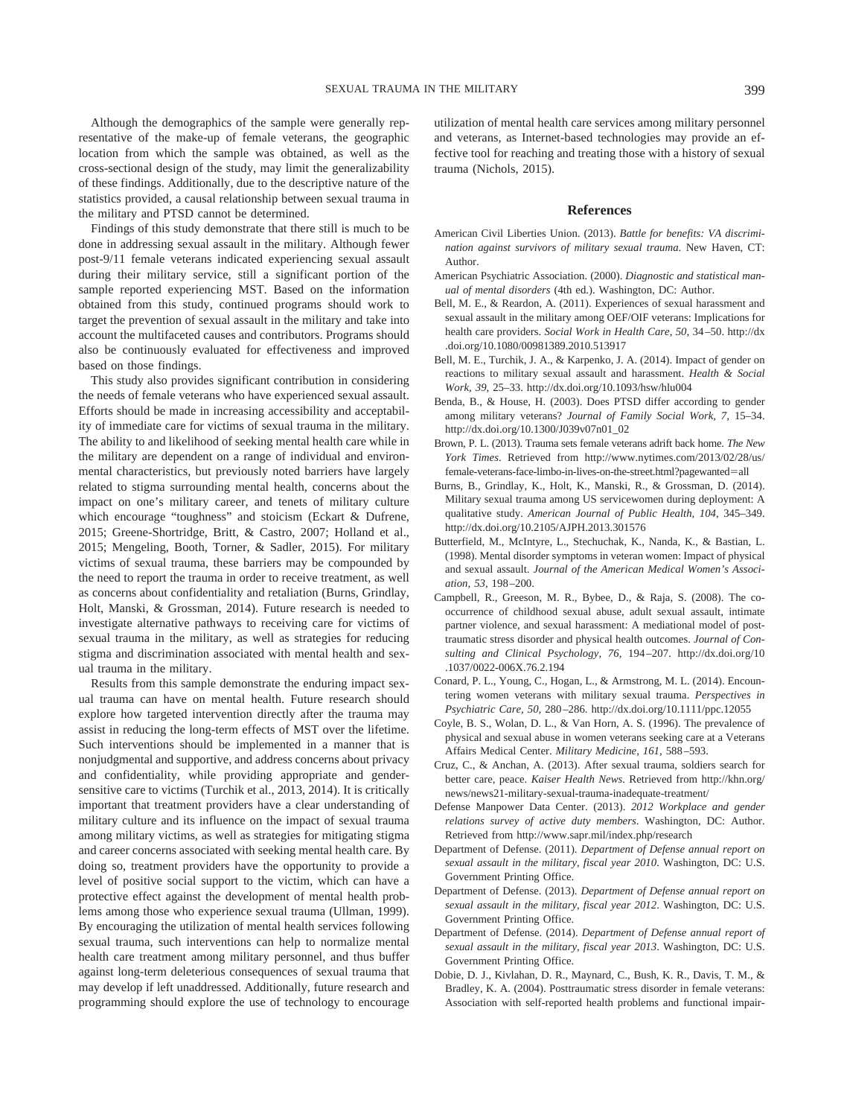Although the demographics of the sample were generally representative of the make-up of female veterans, the geographic location from which the sample was obtained, as well as the cross-sectional design of the study, may limit the generalizability of these findings. Additionally, due to the descriptive nature of the statistics provided, a causal relationship between sexual trauma in the military and PTSD cannot be determined.

Findings of this study demonstrate that there still is much to be done in addressing sexual assault in the military. Although fewer post-9/11 female veterans indicated experiencing sexual assault during their military service, still a significant portion of the sample reported experiencing MST. Based on the information obtained from this study, continued programs should work to target the prevention of sexual assault in the military and take into account the multifaceted causes and contributors. Programs should also be continuously evaluated for effectiveness and improved based on those findings.

This study also provides significant contribution in considering the needs of female veterans who have experienced sexual assault. Efforts should be made in increasing accessibility and acceptability of immediate care for victims of sexual trauma in the military. The ability to and likelihood of seeking mental health care while in the military are dependent on a range of individual and environmental characteristics, but previously noted barriers have largely related to stigma surrounding mental health, concerns about the impact on one's military career, and tenets of military culture which encourage "toughness" and stoicism (Eckart & Dufrene, 2015; Greene-Shortridge, Britt, & Castro, 2007; Holland et al., 2015; Mengeling, Booth, Torner, & Sadler, 2015). For military victims of sexual trauma, these barriers may be compounded by the need to report the trauma in order to receive treatment, as well as concerns about confidentiality and retaliation (Burns, Grindlay, Holt, Manski, & Grossman, 2014). Future research is needed to investigate alternative pathways to receiving care for victims of sexual trauma in the military, as well as strategies for reducing stigma and discrimination associated with mental health and sexual trauma in the military.

Results from this sample demonstrate the enduring impact sexual trauma can have on mental health. Future research should explore how targeted intervention directly after the trauma may assist in reducing the long-term effects of MST over the lifetime. Such interventions should be implemented in a manner that is nonjudgmental and supportive, and address concerns about privacy and confidentiality, while providing appropriate and gendersensitive care to victims (Turchik et al., 2013, 2014). It is critically important that treatment providers have a clear understanding of military culture and its influence on the impact of sexual trauma among military victims, as well as strategies for mitigating stigma and career concerns associated with seeking mental health care. By doing so, treatment providers have the opportunity to provide a level of positive social support to the victim, which can have a protective effect against the development of mental health problems among those who experience sexual trauma (Ullman, 1999). By encouraging the utilization of mental health services following sexual trauma, such interventions can help to normalize mental health care treatment among military personnel, and thus buffer against long-term deleterious consequences of sexual trauma that may develop if left unaddressed. Additionally, future research and programming should explore the use of technology to encourage

utilization of mental health care services among military personnel and veterans, as Internet-based technologies may provide an effective tool for reaching and treating those with a history of sexual trauma (Nichols, 2015).

#### **References**

- American Civil Liberties Union. (2013). *Battle for benefits: VA discrimination against survivors of military sexual trauma*. New Haven, CT: Author.
- American Psychiatric Association. (2000). *Diagnostic and statistical manual of mental disorders* (4th ed.). Washington, DC: Author.
- Bell, M. E., & Reardon, A. (2011). Experiences of sexual harassment and sexual assault in the military among OEF/OIF veterans: Implications for health care providers. *Social Work in Health Care, 50,* 34 –50. [http://dx](http://dx.doi.org/10.1080/00981389.2010.513917) [.doi.org/10.1080/00981389.2010.513917](http://dx.doi.org/10.1080/00981389.2010.513917)
- Bell, M. E., Turchik, J. A., & Karpenko, J. A. (2014). Impact of gender on reactions to military sexual assault and harassment. *Health & Social Work, 39,* 25–33.<http://dx.doi.org/10.1093/hsw/hlu004>
- Benda, B., & House, H. (2003). Does PTSD differ according to gender among military veterans? *Journal of Family Social Work, 7,* 15–34. [http://dx.doi.org/10.1300/J039v07n01\\_02](http://dx.doi.org/10.1300/J039v07n01_02)
- Brown, P. L. (2013). Trauma sets female veterans adrift back home. *The New York Times*. Retrieved from [http://www.nytimes.com/2013/02/28/us/](http://www.nytimes.com/2013/02/28/us/female-veterans-face-limbo-in-lives-on-the-street.html?pagewanted=all) [female-veterans-face-limbo-in-lives-on-the-street.html?pagewanted](http://www.nytimes.com/2013/02/28/us/female-veterans-face-limbo-in-lives-on-the-street.html?pagewanted=all)=all
- Burns, B., Grindlay, K., Holt, K., Manski, R., & Grossman, D. (2014). Military sexual trauma among US servicewomen during deployment: A qualitative study. *American Journal of Public Health, 104,* 345–349. <http://dx.doi.org/10.2105/AJPH.2013.301576>
- Butterfield, M., McIntyre, L., Stechuchak, K., Nanda, K., & Bastian, L. (1998). Mental disorder symptoms in veteran women: Impact of physical and sexual assault. *Journal of the American Medical Women's Association, 53,* 198 –200.
- Campbell, R., Greeson, M. R., Bybee, D., & Raja, S. (2008). The cooccurrence of childhood sexual abuse, adult sexual assault, intimate partner violence, and sexual harassment: A mediational model of posttraumatic stress disorder and physical health outcomes. *Journal of Consulting and Clinical Psychology, 76,* 194 –207. [http://dx.doi.org/10](http://dx.doi.org/10.1037/0022-006X.76.2.194) [.1037/0022-006X.76.2.194](http://dx.doi.org/10.1037/0022-006X.76.2.194)
- Conard, P. L., Young, C., Hogan, L., & Armstrong, M. L. (2014). Encountering women veterans with military sexual trauma. *Perspectives in Psychiatric Care, 50,* 280 –286.<http://dx.doi.org/10.1111/ppc.12055>
- Coyle, B. S., Wolan, D. L., & Van Horn, A. S. (1996). The prevalence of physical and sexual abuse in women veterans seeking care at a Veterans Affairs Medical Center. *Military Medicine, 161,* 588 –593.
- Cruz, C., & Anchan, A. (2013). After sexual trauma, soldiers search for better care, peace. *Kaiser Health News*. Retrieved from [http://khn.org/](http://khn.org/news/news21-military-sexual-trauma-inadequate-treatment/) [news/news21-military-sexual-trauma-inadequate-treatment/](http://khn.org/news/news21-military-sexual-trauma-inadequate-treatment/)
- Defense Manpower Data Center. (2013). *2012 Workplace and gender relations survey of active duty members*. Washington, DC: Author. Retrieved from<http://www.sapr.mil/index.php/research>
- Department of Defense. (2011). *Department of Defense annual report on sexual assault in the military, fiscal year 2010*. Washington, DC: U.S. Government Printing Office.
- Department of Defense. (2013). *Department of Defense annual report on sexual assault in the military, fiscal year 2012*. Washington, DC: U.S. Government Printing Office.
- Department of Defense. (2014). *Department of Defense annual report of sexual assault in the military, fiscal year 2013*. Washington, DC: U.S. Government Printing Office.
- Dobie, D. J., Kivlahan, D. R., Maynard, C., Bush, K. R., Davis, T. M., & Bradley, K. A. (2004). Posttraumatic stress disorder in female veterans: Association with self-reported health problems and functional impair-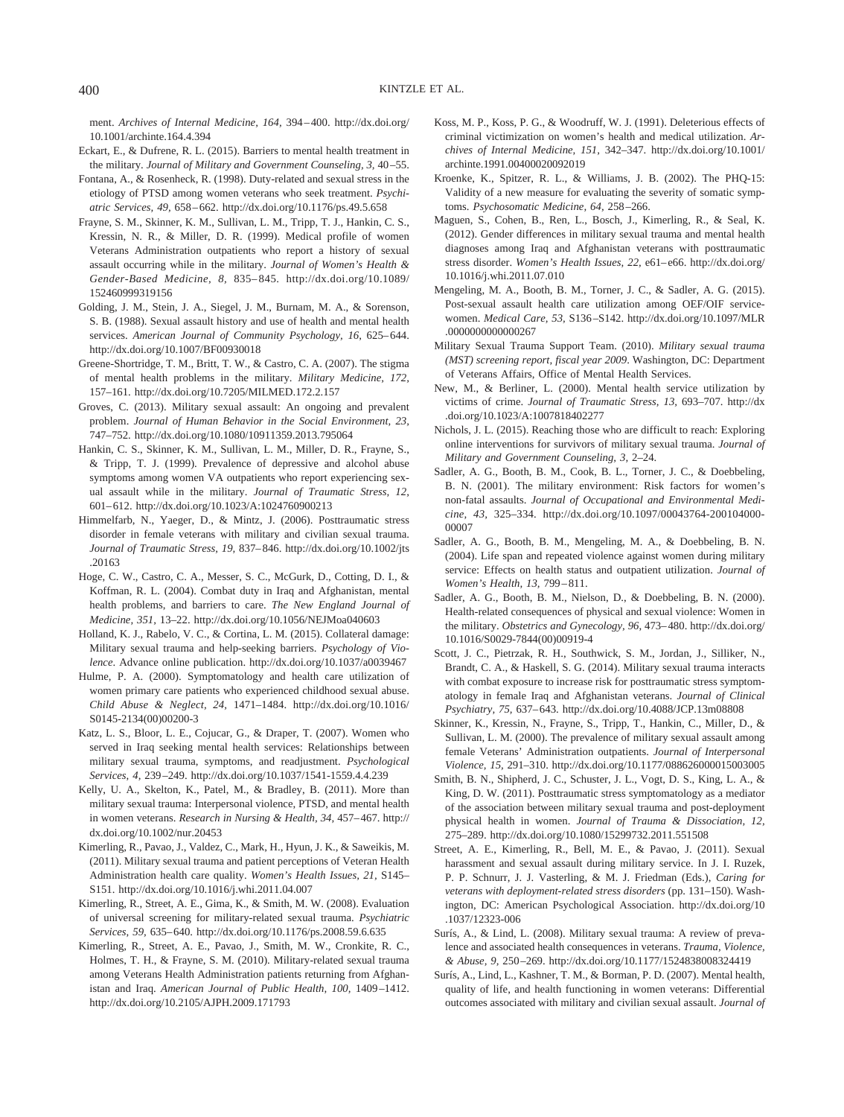ment. *Archives of Internal Medicine, 164,* 394 – 400. [http://dx.doi.org/](http://dx.doi.org/10.1001/archinte.164.4.394) [10.1001/archinte.164.4.394](http://dx.doi.org/10.1001/archinte.164.4.394)

- Eckart, E., & Dufrene, R. L. (2015). Barriers to mental health treatment in the military. *Journal of Military and Government Counseling, 3,* 40 –55.
- Fontana, A., & Rosenheck, R. (1998). Duty-related and sexual stress in the etiology of PTSD among women veterans who seek treatment. *Psychiatric Services, 49,* 658 – 662.<http://dx.doi.org/10.1176/ps.49.5.658>
- Frayne, S. M., Skinner, K. M., Sullivan, L. M., Tripp, T. J., Hankin, C. S., Kressin, N. R., & Miller, D. R. (1999). Medical profile of women Veterans Administration outpatients who report a history of sexual assault occurring while in the military. *Journal of Women's Health & Gender-Based Medicine, 8,* 835– 845. [http://dx.doi.org/10.1089/](http://dx.doi.org/10.1089/152460999319156) [152460999319156](http://dx.doi.org/10.1089/152460999319156)
- Golding, J. M., Stein, J. A., Siegel, J. M., Burnam, M. A., & Sorenson, S. B. (1988). Sexual assault history and use of health and mental health services. American Journal of Community Psychology, 16, 625-644. <http://dx.doi.org/10.1007/BF00930018>
- Greene-Shortridge, T. M., Britt, T. W., & Castro, C. A. (2007). The stigma of mental health problems in the military. *Military Medicine, 172,* 157–161.<http://dx.doi.org/10.7205/MILMED.172.2.157>
- Groves, C. (2013). Military sexual assault: An ongoing and prevalent problem. *Journal of Human Behavior in the Social Environment, 23,* 747–752.<http://dx.doi.org/10.1080/10911359.2013.795064>
- Hankin, C. S., Skinner, K. M., Sullivan, L. M., Miller, D. R., Frayne, S., & Tripp, T. J. (1999). Prevalence of depressive and alcohol abuse symptoms among women VA outpatients who report experiencing sexual assault while in the military. *Journal of Traumatic Stress, 12,* 601– 612.<http://dx.doi.org/10.1023/A:1024760900213>
- Himmelfarb, N., Yaeger, D., & Mintz, J. (2006). Posttraumatic stress disorder in female veterans with military and civilian sexual trauma. *Journal of Traumatic Stress, 19,* 837– 846. [http://dx.doi.org/10.1002/jts](http://dx.doi.org/10.1002/jts.20163) [.20163](http://dx.doi.org/10.1002/jts.20163)
- Hoge, C. W., Castro, C. A., Messer, S. C., McGurk, D., Cotting, D. I., & Koffman, R. L. (2004). Combat duty in Iraq and Afghanistan, mental health problems, and barriers to care. *The New England Journal of Medicine, 351,* 13–22.<http://dx.doi.org/10.1056/NEJMoa040603>
- Holland, K. J., Rabelo, V. C., & Cortina, L. M. (2015). Collateral damage: Military sexual trauma and help-seeking barriers. *Psychology of Violence*. Advance online publication.<http://dx.doi.org/10.1037/a0039467>
- Hulme, P. A. (2000). Symptomatology and health care utilization of women primary care patients who experienced childhood sexual abuse. *Child Abuse & Neglect, 24,* 1471–1484. [http://dx.doi.org/10.1016/](http://dx.doi.org/10.1016/S0145-2134%2800%2900200-3) [S0145-2134\(00\)00200-3](http://dx.doi.org/10.1016/S0145-2134%2800%2900200-3)
- Katz, L. S., Bloor, L. E., Cojucar, G., & Draper, T. (2007). Women who served in Iraq seeking mental health services: Relationships between military sexual trauma, symptoms, and readjustment. *Psychological Services, 4,* 239 –249.<http://dx.doi.org/10.1037/1541-1559.4.4.239>
- Kelly, U. A., Skelton, K., Patel, M., & Bradley, B. (2011). More than military sexual trauma: Interpersonal violence, PTSD, and mental health in women veterans. *Research in Nursing & Health, 34,* 457– 467. [http://](http://dx.doi.org/10.1002/nur.20453) [dx.doi.org/10.1002/nur.20453](http://dx.doi.org/10.1002/nur.20453)
- Kimerling, R., Pavao, J., Valdez, C., Mark, H., Hyun, J. K., & Saweikis, M. (2011). Military sexual trauma and patient perceptions of Veteran Health Administration health care quality. *Women's Health Issues, 21,* S145– S151.<http://dx.doi.org/10.1016/j.whi.2011.04.007>
- Kimerling, R., Street, A. E., Gima, K., & Smith, M. W. (2008). Evaluation of universal screening for military-related sexual trauma. *Psychiatric Services, 59,* 635– 640.<http://dx.doi.org/10.1176/ps.2008.59.6.635>
- Kimerling, R., Street, A. E., Pavao, J., Smith, M. W., Cronkite, R. C., Holmes, T. H., & Frayne, S. M. (2010). Military-related sexual trauma among Veterans Health Administration patients returning from Afghanistan and Iraq. *American Journal of Public Health, 100,* 1409 –1412. <http://dx.doi.org/10.2105/AJPH.2009.171793>
- Koss, M. P., Koss, P. G., & Woodruff, W. J. (1991). Deleterious effects of criminal victimization on women's health and medical utilization. *Archives of Internal Medicine, 151,* 342–347. [http://dx.doi.org/10.1001/](http://dx.doi.org/10.1001/archinte.1991.00400020092019) [archinte.1991.00400020092019](http://dx.doi.org/10.1001/archinte.1991.00400020092019)
- Kroenke, K., Spitzer, R. L., & Williams, J. B. (2002). The PHQ-15: Validity of a new measure for evaluating the severity of somatic symptoms. *Psychosomatic Medicine, 64,* 258 –266.
- Maguen, S., Cohen, B., Ren, L., Bosch, J., Kimerling, R., & Seal, K. (2012). Gender differences in military sexual trauma and mental health diagnoses among Iraq and Afghanistan veterans with posttraumatic stress disorder. *Women's Health Issues, 22,* e61– e66. [http://dx.doi.org/](http://dx.doi.org/10.1016/j.whi.2011.07.010) [10.1016/j.whi.2011.07.010](http://dx.doi.org/10.1016/j.whi.2011.07.010)
- Mengeling, M. A., Booth, B. M., Torner, J. C., & Sadler, A. G. (2015). Post-sexual assault health care utilization among OEF/OIF servicewomen. *Medical Care, 53,* S136 –S142. [http://dx.doi.org/10.1097/MLR](http://dx.doi.org/10.1097/MLR.0000000000000267) [.0000000000000267](http://dx.doi.org/10.1097/MLR.0000000000000267)
- Military Sexual Trauma Support Team. (2010). *Military sexual trauma (MST) screening report, fiscal year 2009*. Washington, DC: Department of Veterans Affairs, Office of Mental Health Services.
- New, M., & Berliner, L. (2000). Mental health service utilization by victims of crime. *Journal of Traumatic Stress, 13,* 693–707. [http://dx](http://dx.doi.org/10.1023/A:1007818402277) [.doi.org/10.1023/A:1007818402277](http://dx.doi.org/10.1023/A:1007818402277)
- Nichols, J. L. (2015). Reaching those who are difficult to reach: Exploring online interventions for survivors of military sexual trauma. *Journal of Military and Government Counseling, 3,* 2–24.
- Sadler, A. G., Booth, B. M., Cook, B. L., Torner, J. C., & Doebbeling, B. N. (2001). The military environment: Risk factors for women's non-fatal assaults. *Journal of Occupational and Environmental Medicine, 43,* 325–334. [http://dx.doi.org/10.1097/00043764-200104000-](http://dx.doi.org/10.1097/00043764-200104000-00007) [00007](http://dx.doi.org/10.1097/00043764-200104000-00007)
- Sadler, A. G., Booth, B. M., Mengeling, M. A., & Doebbeling, B. N. (2004). Life span and repeated violence against women during military service: Effects on health status and outpatient utilization. *Journal of Women's Health, 13,* 799 – 811.
- Sadler, A. G., Booth, B. M., Nielson, D., & Doebbeling, B. N. (2000). Health-related consequences of physical and sexual violence: Women in the military. *Obstetrics and Gynecology, 96,* 473– 480. [http://dx.doi.org/](http://dx.doi.org/10.1016/S0029-7844%2800%2900919-4) [10.1016/S0029-7844\(00\)00919-4](http://dx.doi.org/10.1016/S0029-7844%2800%2900919-4)
- Scott, J. C., Pietrzak, R. H., Southwick, S. M., Jordan, J., Silliker, N., Brandt, C. A., & Haskell, S. G. (2014). Military sexual trauma interacts with combat exposure to increase risk for posttraumatic stress symptomatology in female Iraq and Afghanistan veterans. *Journal of Clinical Psychiatry, 75,* 637– 643.<http://dx.doi.org/10.4088/JCP.13m08808>
- Skinner, K., Kressin, N., Frayne, S., Tripp, T., Hankin, C., Miller, D., & Sullivan, L. M. (2000). The prevalence of military sexual assault among female Veterans' Administration outpatients. *Journal of Interpersonal Violence, 15,* 291–310.<http://dx.doi.org/10.1177/088626000015003005>
- Smith, B. N., Shipherd, J. C., Schuster, J. L., Vogt, D. S., King, L. A., & King, D. W. (2011). Posttraumatic stress symptomatology as a mediator of the association between military sexual trauma and post-deployment physical health in women. *Journal of Trauma & Dissociation, 12,* 275–289.<http://dx.doi.org/10.1080/15299732.2011.551508>
- Street, A. E., Kimerling, R., Bell, M. E., & Pavao, J. (2011). Sexual harassment and sexual assault during military service. In J. I. Ruzek, P. P. Schnurr, J. J. Vasterling, & M. J. Friedman (Eds.), *Caring for veterans with deployment-related stress disorders* (pp. 131–150). Washington, DC: American Psychological Association. [http://dx.doi.org/10](http://dx.doi.org/10.1037/12323-006) [.1037/12323-006](http://dx.doi.org/10.1037/12323-006)
- Surís, A., & Lind, L. (2008). Military sexual trauma: A review of prevalence and associated health consequences in veterans. *Trauma, Violence, & Abuse, 9,* 250 –269.<http://dx.doi.org/10.1177/1524838008324419>
- Surís, A., Lind, L., Kashner, T. M., & Borman, P. D. (2007). Mental health, quality of life, and health functioning in women veterans: Differential outcomes associated with military and civilian sexual assault. *Journal of*